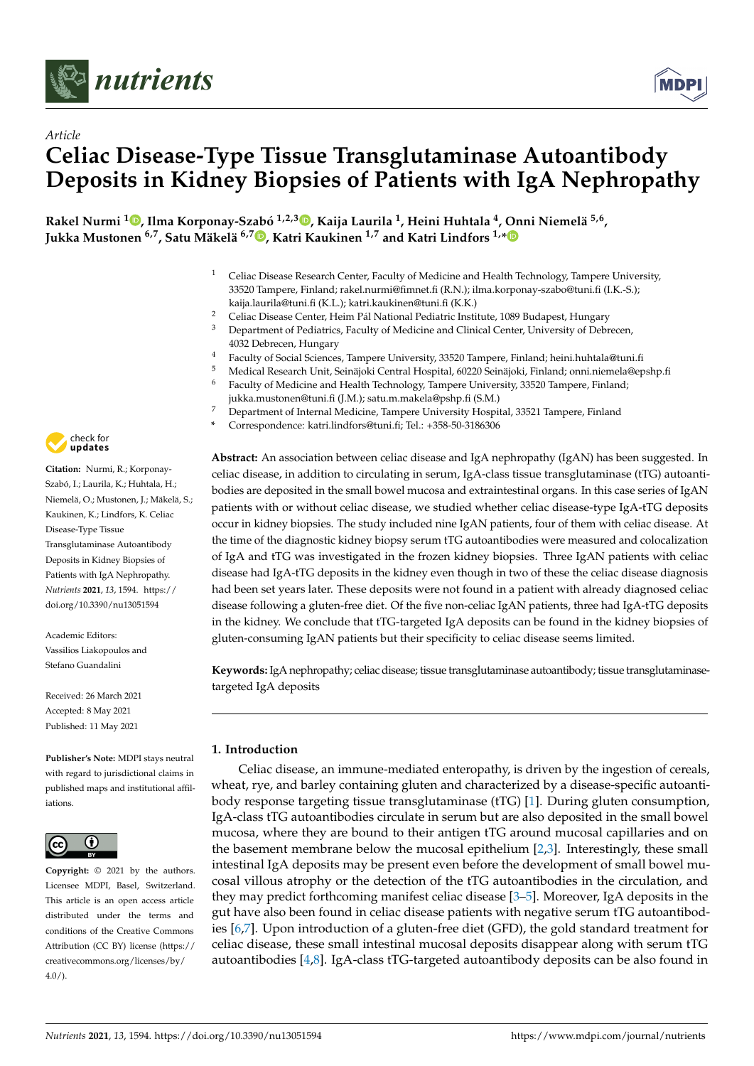



# *Article* **Celiac Disease-Type Tissue Transglutaminase Autoantibody Deposits in Kidney Biopsies of Patients with IgA Nephropathy**

**Rakel Nurmi <sup>1</sup> [,](https://orcid.org/0000-0002-6870-558X) Ilma Korponay-Szabó 1,2,[3](https://orcid.org/0000-0003-0554-2629) , Kaija Laurila <sup>1</sup> , Heini Huhtala <sup>4</sup> , Onni Niemelä 5,6 , Jukka Mustonen 6,7, Satu Mäkelä 6,7 [,](https://orcid.org/0000-0001-6967-2401) Katri Kaukinen 1,7 and Katri Lindfors 1,[\\*](https://orcid.org/0000-0001-7417-5151)**

- <sup>1</sup> Celiac Disease Research Center, Faculty of Medicine and Health Technology, Tampere University, 33520 Tampere, Finland; rakel.nurmi@fimnet.fi (R.N.); ilma.korponay-szabo@tuni.fi (I.K.-S.); kaija.laurila@tuni.fi (K.L.); katri.kaukinen@tuni.fi (K.K.)
- <sup>2</sup> Celiac Disease Center, Heim Pál National Pediatric Institute, 1089 Budapest, Hungary<br><sup>3</sup> Department of Pediatrics, Eaculty of Medicine and Clinical Center, University of Debr
- <sup>3</sup> Department of Pediatrics, Faculty of Medicine and Clinical Center, University of Debrecen, 4032 Debrecen, Hungary
- <sup>4</sup> Faculty of Social Sciences, Tampere University, 33520 Tampere, Finland; heini.huhtala@tuni.fi
- <sup>5</sup> Medical Research Unit, Seinäjoki Central Hospital, 60220 Seinäjoki, Finland; onni.niemela@epshp.fi
- <sup>6</sup> Faculty of Medicine and Health Technology, Tampere University, 33520 Tampere, Finland; jukka.mustonen@tuni.fi (J.M.); satu.m.makela@pshp.fi (S.M.)
- <sup>7</sup> Department of Internal Medicine, Tampere University Hospital, 33521 Tampere, Finland
- **\*** Correspondence: katri.lindfors@tuni.fi; Tel.: +358-50-3186306

**Abstract:** An association between celiac disease and IgA nephropathy (IgAN) has been suggested. In celiac disease, in addition to circulating in serum, IgA-class tissue transglutaminase (tTG) autoantibodies are deposited in the small bowel mucosa and extraintestinal organs. In this case series of IgAN patients with or without celiac disease, we studied whether celiac disease-type IgA-tTG deposits occur in kidney biopsies. The study included nine IgAN patients, four of them with celiac disease. At the time of the diagnostic kidney biopsy serum tTG autoantibodies were measured and colocalization of IgA and tTG was investigated in the frozen kidney biopsies. Three IgAN patients with celiac disease had IgA-tTG deposits in the kidney even though in two of these the celiac disease diagnosis had been set years later. These deposits were not found in a patient with already diagnosed celiac disease following a gluten-free diet. Of the five non-celiac IgAN patients, three had IgA-tTG deposits in the kidney. We conclude that tTG-targeted IgA deposits can be found in the kidney biopsies of gluten-consuming IgAN patients but their specificity to celiac disease seems limited.

**Keywords:** IgA nephropathy; celiac disease; tissue transglutaminase autoantibody; tissue transglutaminasetargeted IgA deposits

### **1. Introduction**

Celiac disease, an immune-mediated enteropathy, is driven by the ingestion of cereals, wheat, rye, and barley containing gluten and characterized by a disease-specific autoantibody response targeting tissue transglutaminase (tTG) [\[1\]](#page-6-0). During gluten consumption, IgA-class tTG autoantibodies circulate in serum but are also deposited in the small bowel mucosa, where they are bound to their antigen tTG around mucosal capillaries and on the basement membrane below the mucosal epithelium [\[2,](#page-6-1)[3\]](#page-6-2). Interestingly, these small intestinal IgA deposits may be present even before the development of small bowel mucosal villous atrophy or the detection of the tTG autoantibodies in the circulation, and they may predict forthcoming manifest celiac disease [\[3](#page-6-2)[–5\]](#page-6-3). Moreover, IgA deposits in the gut have also been found in celiac disease patients with negative serum tTG autoantibodies [\[6](#page-6-4)[,7\]](#page-6-5). Upon introduction of a gluten-free diet (GFD), the gold standard treatment for celiac disease, these small intestinal mucosal deposits disappear along with serum tTG autoantibodies [\[4,](#page-6-6)[8\]](#page-6-7). IgA-class tTG-targeted autoantibody deposits can be also found in



**Citation:** Nurmi, R.; Korponay-Szabó, I.; Laurila, K.; Huhtala, H.; Niemelä, O.; Mustonen, J.; Mäkelä, S.; Kaukinen, K.; Lindfors, K. Celiac Disease-Type Tissue Transglutaminase Autoantibody Deposits in Kidney Biopsies of Patients with IgA Nephropathy. *Nutrients* **2021**, *13*, 1594. [https://](https://doi.org/10.3390/nu13051594) [doi.org/10.3390/nu13051594](https://doi.org/10.3390/nu13051594)

Academic Editors: Vassilios Liakopoulos and Stefano Guandalini

Received: 26 March 2021 Accepted: 8 May 2021 Published: 11 May 2021

**Publisher's Note:** MDPI stays neutral with regard to jurisdictional claims in published maps and institutional affiliations.



**Copyright:** © 2021 by the authors. Licensee MDPI, Basel, Switzerland. This article is an open access article distributed under the terms and conditions of the Creative Commons Attribution (CC BY) license (https:/[/](https://creativecommons.org/licenses/by/4.0/) [creativecommons.org/licenses/by/](https://creativecommons.org/licenses/by/4.0/)  $4.0/$ ).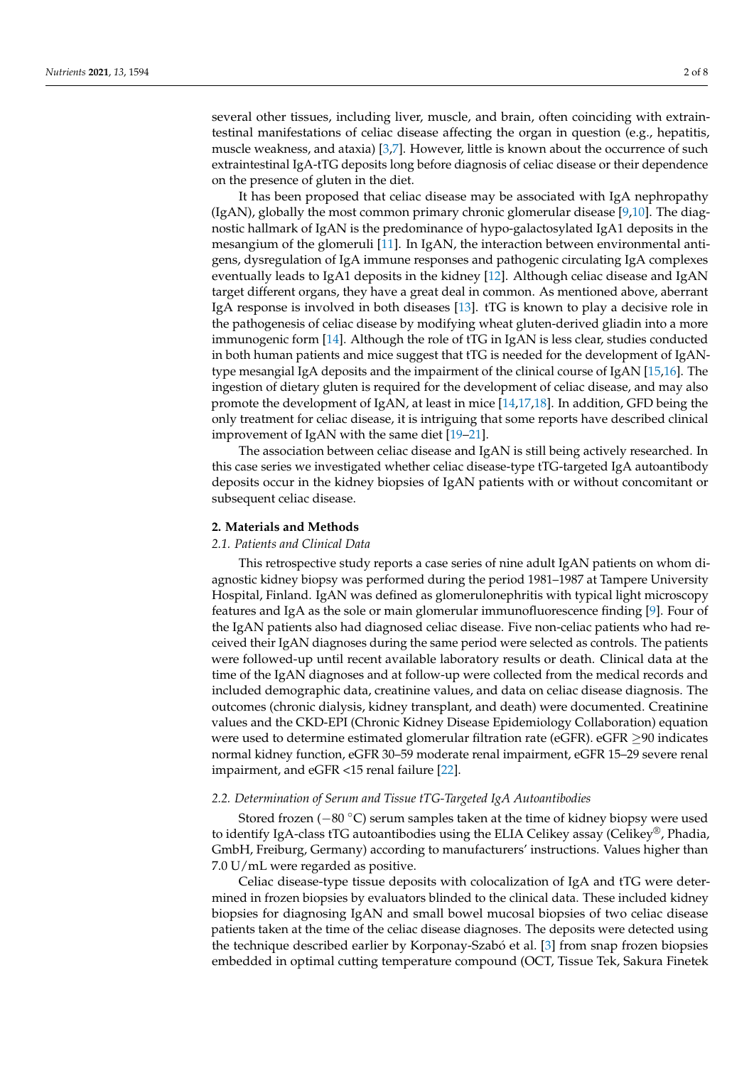several other tissues, including liver, muscle, and brain, often coinciding with extraintestinal manifestations of celiac disease affecting the organ in question (e.g., hepatitis, muscle weakness, and ataxia) [\[3](#page-6-2)[,7\]](#page-6-5). However, little is known about the occurrence of such extraintestinal IgA-tTG deposits long before diagnosis of celiac disease or their dependence on the presence of gluten in the diet.

It has been proposed that celiac disease may be associated with IgA nephropathy (IgAN), globally the most common primary chronic glomerular disease [\[9,](#page-6-8)[10\]](#page-6-9). The diagnostic hallmark of IgAN is the predominance of hypo-galactosylated IgA1 deposits in the mesangium of the glomeruli [\[11\]](#page-6-10). In IgAN, the interaction between environmental antigens, dysregulation of IgA immune responses and pathogenic circulating IgA complexes eventually leads to IgA1 deposits in the kidney [\[12\]](#page-6-11). Although celiac disease and IgAN target different organs, they have a great deal in common. As mentioned above, aberrant IgA response is involved in both diseases [\[13\]](#page-6-12). tTG is known to play a decisive role in the pathogenesis of celiac disease by modifying wheat gluten-derived gliadin into a more immunogenic form [\[14\]](#page-6-13). Although the role of tTG in IgAN is less clear, studies conducted in both human patients and mice suggest that tTG is needed for the development of IgANtype mesangial IgA deposits and the impairment of the clinical course of IgAN [\[15](#page-6-14)[,16\]](#page-6-15). The ingestion of dietary gluten is required for the development of celiac disease, and may also promote the development of IgAN, at least in mice [\[14](#page-6-13)[,17](#page-6-16)[,18\]](#page-6-17). In addition, GFD being the only treatment for celiac disease, it is intriguing that some reports have described clinical improvement of IgAN with the same diet [\[19](#page-6-18)[–21\]](#page-6-19).

The association between celiac disease and IgAN is still being actively researched. In this case series we investigated whether celiac disease-type tTG-targeted IgA autoantibody deposits occur in the kidney biopsies of IgAN patients with or without concomitant or subsequent celiac disease.

#### **2. Materials and Methods**

#### *2.1. Patients and Clinical Data*

This retrospective study reports a case series of nine adult IgAN patients on whom diagnostic kidney biopsy was performed during the period 1981–1987 at Tampere University Hospital, Finland. IgAN was defined as glomerulonephritis with typical light microscopy features and IgA as the sole or main glomerular immunofluorescence finding [\[9\]](#page-6-8). Four of the IgAN patients also had diagnosed celiac disease. Five non-celiac patients who had received their IgAN diagnoses during the same period were selected as controls. The patients were followed-up until recent available laboratory results or death. Clinical data at the time of the IgAN diagnoses and at follow-up were collected from the medical records and included demographic data, creatinine values, and data on celiac disease diagnosis. The outcomes (chronic dialysis, kidney transplant, and death) were documented. Creatinine values and the CKD-EPI (Chronic Kidney Disease Epidemiology Collaboration) equation were used to determine estimated glomerular filtration rate (eGFR). eGFR ≥90 indicates normal kidney function, eGFR 30–59 moderate renal impairment, eGFR 15–29 severe renal impairment, and eGFR <15 renal failure [\[22\]](#page-6-20).

#### *2.2. Determination of Serum and Tissue tTG-Targeted IgA Autoantibodies*

Stored frozen (−80 ◦C) serum samples taken at the time of kidney biopsy were used to identify IgA-class tTG autoantibodies using the ELIA Celikey assay (Celikey<sup>®</sup>, Phadia, GmbH, Freiburg, Germany) according to manufacturers' instructions. Values higher than 7.0 U/mL were regarded as positive.

Celiac disease-type tissue deposits with colocalization of IgA and tTG were determined in frozen biopsies by evaluators blinded to the clinical data. These included kidney biopsies for diagnosing IgAN and small bowel mucosal biopsies of two celiac disease patients taken at the time of the celiac disease diagnoses. The deposits were detected using the technique described earlier by Korponay-Szabó et al. [\[3\]](#page-6-2) from snap frozen biopsies embedded in optimal cutting temperature compound (OCT, Tissue Tek, Sakura Finetek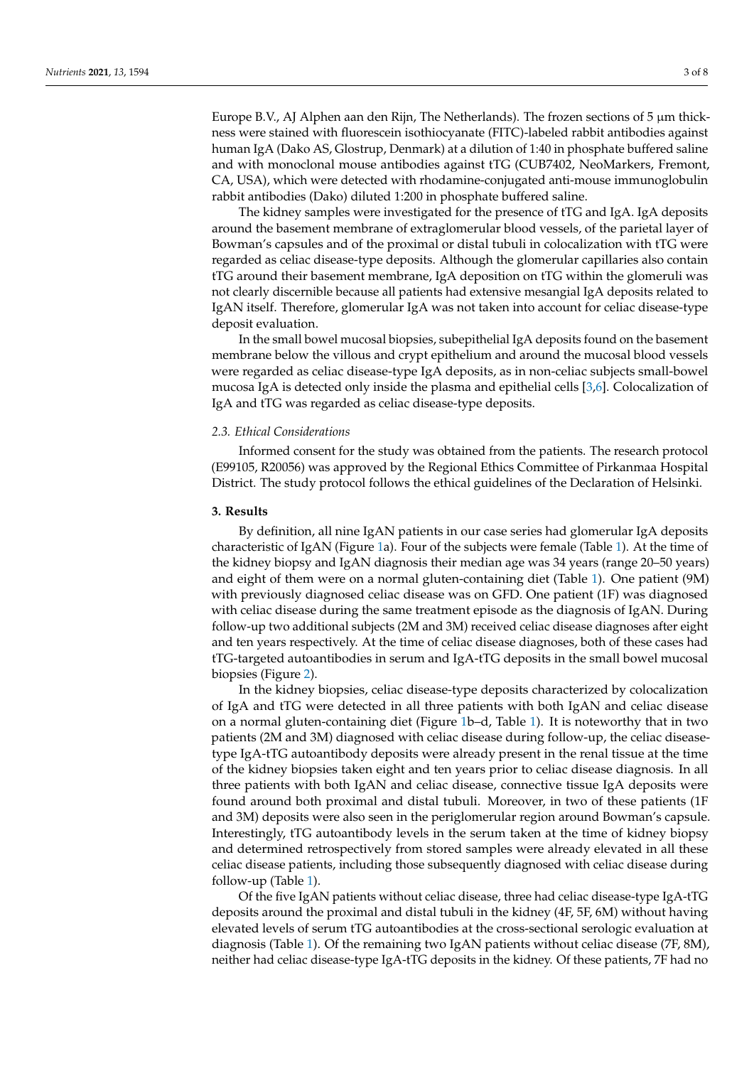Europe B.V., AJ Alphen aan den Rijn, The Netherlands). The frozen sections of 5 µm thickness were stained with fluorescein isothiocyanate (FITC)-labeled rabbit antibodies against human IgA (Dako AS, Glostrup, Denmark) at a dilution of 1:40 in phosphate buffered saline and with monoclonal mouse antibodies against tTG (CUB7402, NeoMarkers, Fremont, CA, USA), which were detected with rhodamine-conjugated anti-mouse immunoglobulin rabbit antibodies (Dako) diluted 1:200 in phosphate buffered saline.

The kidney samples were investigated for the presence of tTG and IgA. IgA deposits around the basement membrane of extraglomerular blood vessels, of the parietal layer of Bowman's capsules and of the proximal or distal tubuli in colocalization with tTG were regarded as celiac disease-type deposits. Although the glomerular capillaries also contain tTG around their basement membrane, IgA deposition on tTG within the glomeruli was not clearly discernible because all patients had extensive mesangial IgA deposits related to IgAN itself. Therefore, glomerular IgA was not taken into account for celiac disease-type deposit evaluation.

In the small bowel mucosal biopsies, subepithelial IgA deposits found on the basement membrane below the villous and crypt epithelium and around the mucosal blood vessels were regarded as celiac disease-type IgA deposits, as in non-celiac subjects small-bowel mucosa IgA is detected only inside the plasma and epithelial cells [\[3,](#page-6-2)[6\]](#page-6-4). Colocalization of IgA and tTG was regarded as celiac disease-type deposits.

#### *2.3. Ethical Considerations*

Informed consent for the study was obtained from the patients. The research protocol (E99105, R20056) was approved by the Regional Ethics Committee of Pirkanmaa Hospital District. The study protocol follows the ethical guidelines of the Declaration of Helsinki.

#### **3. Results**

By definition, all nine IgAN patients in our case series had glomerular IgA deposits characteristic of IgAN (Figure [1a](#page-3-0)). Four of the subjects were female (Table [1\)](#page-3-1). At the time of the kidney biopsy and IgAN diagnosis their median age was 34 years (range 20–50 years) and eight of them were on a normal gluten-containing diet (Table [1\)](#page-3-1). One patient (9M) with previously diagnosed celiac disease was on GFD. One patient (1F) was diagnosed with celiac disease during the same treatment episode as the diagnosis of IgAN. During follow-up two additional subjects (2M and 3M) received celiac disease diagnoses after eight and ten years respectively. At the time of celiac disease diagnoses, both of these cases had tTG-targeted autoantibodies in serum and IgA-tTG deposits in the small bowel mucosal biopsies (Figure [2\)](#page-4-0).

In the kidney biopsies, celiac disease-type deposits characterized by colocalization of IgA and tTG were detected in all three patients with both IgAN and celiac disease on a normal gluten-containing diet (Figure [1b](#page-3-0)–d, Table [1\)](#page-3-1). It is noteworthy that in two patients (2M and 3M) diagnosed with celiac disease during follow-up, the celiac diseasetype IgA-tTG autoantibody deposits were already present in the renal tissue at the time of the kidney biopsies taken eight and ten years prior to celiac disease diagnosis. In all three patients with both IgAN and celiac disease, connective tissue IgA deposits were found around both proximal and distal tubuli. Moreover, in two of these patients (1F and 3M) deposits were also seen in the periglomerular region around Bowman's capsule. Interestingly, tTG autoantibody levels in the serum taken at the time of kidney biopsy and determined retrospectively from stored samples were already elevated in all these celiac disease patients, including those subsequently diagnosed with celiac disease during follow-up (Table [1\)](#page-3-1).

Of the five IgAN patients without celiac disease, three had celiac disease-type IgA-tTG deposits around the proximal and distal tubuli in the kidney (4F, 5F, 6M) without having elevated levels of serum tTG autoantibodies at the cross-sectional serologic evaluation at diagnosis (Table [1\)](#page-3-1). Of the remaining two IgAN patients without celiac disease (7F, 8M), neither had celiac disease-type IgA-tTG deposits in the kidney. Of these patients, 7F had no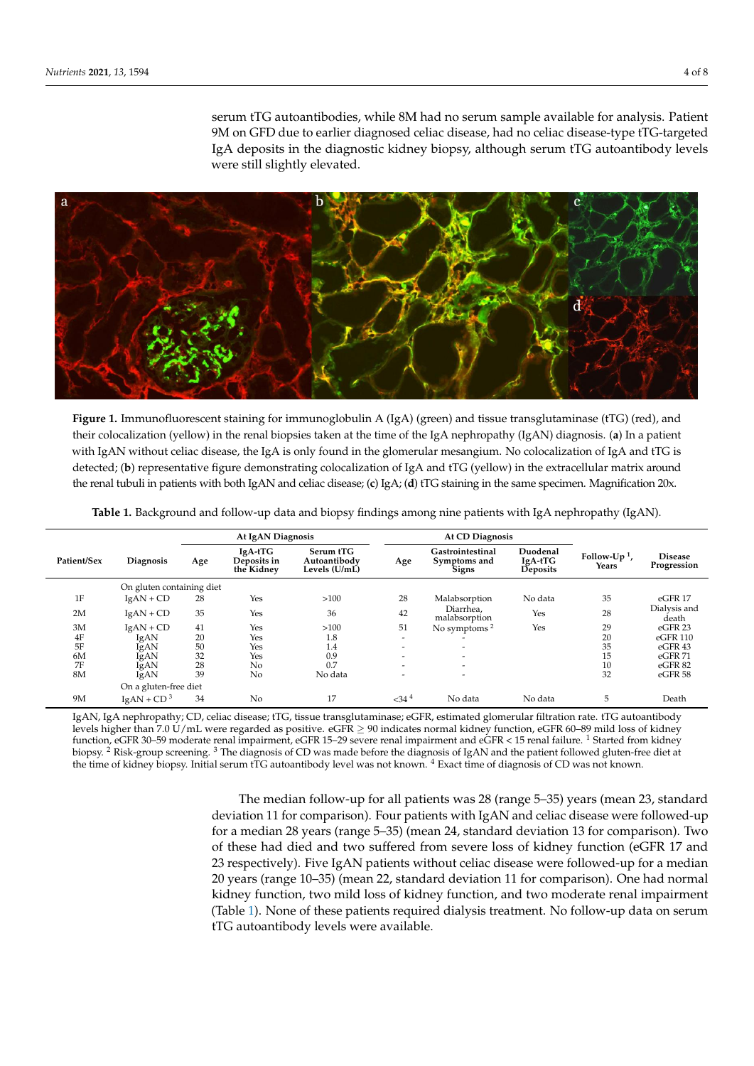serum tTG autoantibodies, while 8M had no serum sample available for analysis. Patient 9M on GFD due to earlier diagnosed celiac disease, had no celiac disease-type tTG-targeted IgA deposits in the diagnostic kidney biopsy, although serum tTG autoantibody levels were still slightly elevated.

<span id="page-3-0"></span>

Figure 1. Immunofluorescent staining for immunoglobulin A (IgA) (green) and tissue transglutaminase (tTG) (red), and their colocalization (yellow) in the renal biopsies taken at the time of the IgA nephropathy (IgAN) diagnosis. (a) In a patient patient with IgAN without celiac disease, the IgA is only found in the glomerular mesangium. No colocalization of IgA with IgAN without celiac disease, the IgA is only found in the glomerular mesangium. No colocalization of IgA and tTG is detected; (**b**) representative figure demonstrating colocalization of IgA and tTG (yellow) in the extracellular matrix around men. the renal tubuli in patients with both IgAN and celiac disease; (**c**) IgA; (**d**) tTG staining in the same specimen. Magnification 20x.

<span id="page-3-1"></span>

|                           |                  | At IgAN Diagnosis |                                      |                                            | <b>At CD Diagnosis</b>   |                                                  |                                 |                                   |                               |
|---------------------------|------------------|-------------------|--------------------------------------|--------------------------------------------|--------------------------|--------------------------------------------------|---------------------------------|-----------------------------------|-------------------------------|
| Patient/Sex               | <b>Diagnosis</b> | Age               | IgA-tTG<br>Deposits in<br>the Kidney | Serum tTG<br>Autoantibody<br>Levels (U/mL) | Age                      | Gastrointestinal<br>Symptoms and<br><b>Signs</b> | Duodenal<br>IgA-tTG<br>Deposits | Follow-Up <sup>1</sup> ,<br>Years | <b>Disease</b><br>Progression |
| On gluten containing diet |                  |                   |                                      |                                            |                          |                                                  |                                 |                                   |                               |
| 1F                        | $IgAN + CD$      | 28                | Yes                                  | >100                                       | 28                       | Malabsorption                                    | No data                         | 35                                | eGFR 17                       |
| 2M                        | $IgAN + CD$      | 35                | Yes                                  | 36                                         | 42                       | Diarrhea,<br>malabsorption                       | Yes                             | 28                                | Dialysis and<br>death         |
| 3M                        | $IgAN + CD$      | 41                | Yes                                  | >100                                       | 51                       | No symptoms <sup>2</sup>                         | Yes                             | 29                                | eGFR <sub>23</sub>            |
| $4F$                      | IgAN             | 20                | Yes                                  | 1.8                                        | $\overline{\phantom{a}}$ |                                                  |                                 | 20                                | eGFR 110                      |
| 5F                        | IgAN             | 50                | Yes                                  | 1.4                                        | $\overline{\phantom{0}}$ |                                                  |                                 | 35                                | eGFR43                        |
| 6M                        | IgAN             | 32                | Yes                                  | 0.9                                        | $\overline{\phantom{a}}$ | $\overline{\phantom{0}}$                         |                                 | 15                                | eGFR71                        |
| 7F                        | IgAN             | 28                | N <sub>0</sub>                       | 0.7                                        | $\overline{\phantom{a}}$ | $\overline{\phantom{a}}$                         |                                 | 10                                | eGFR 82                       |
| 8M                        | IgAN             | 39                | N <sub>0</sub>                       | No data                                    | $\overline{\phantom{a}}$ | $\overline{\phantom{a}}$                         |                                 | 32                                | eGFR <sub>58</sub>            |
| On a gluten-free diet     |                  |                   |                                      |                                            |                          |                                                  |                                 |                                   |                               |
| 9M                        | $IgAN + CD^3$    | 34                | N <sub>0</sub>                       | 17                                         | $<$ 34 $4$               | No data                                          | No data                         | 5                                 | Death                         |

**Table 1.** Background and follow-up data and biopsy findings among nine patients with IgA nephropathy (IgAN).

tTG deposits around the proximal and distal tubuli in the kidney (4F, 5F, 6M) without IgAN, IgA nephropathy; CD, celiac disease; tTG, tissue transglutaminase; eGFR, estimated glomerular filtration rate. tTG autoantibody function, eGFR 30–59 moderate renal impairment, eGFR 15–29 severe renal impairment and eGFR < 15 renal failure. <sup>1</sup> Started from kidney function, eGFR 30–59 moderate renal impairment, eGFR 15–29 severe renal impairment an biopsy. <sup>2</sup> Risk-group screening. <sup>3</sup> The diagnosis of CD was made before the diagnosis of IgAN and the patient followed gluten-free diet at the time of kidney biopsy. Initial serum tTG autoantibody level was not known.  $^4$  Exact time of diagnosis of CD was not known. levels higher than 7.0 U/mL were regarded as positive. eGFR ≥ 90 indicates normal kidney function, eGFR 60–89 mild loss of kidney

> The median follow-up for all patients was 28 (range 5–35) years (mean 23, standard deviation 11 for comparison). Four patients with IgAN and celiac disease were followed-up for a median 28 years (range 5–35) (mean 24, standard deviation 13 for comparison). Two of these had died and two suffered from severe loss of kidney function (eGFR 17 and 23 respectively). Five IgAN patients without celiac disease were followed-up for a median 20 years (range 10–35) (mean 22, standard deviation 11 for comparison). One had normal kidney function, two mild loss of kidney function, and two moderate renal impairment (Table 1). None of these patients required dialysis treatment. No follow-up data on serum tTG autoantibody levels were available.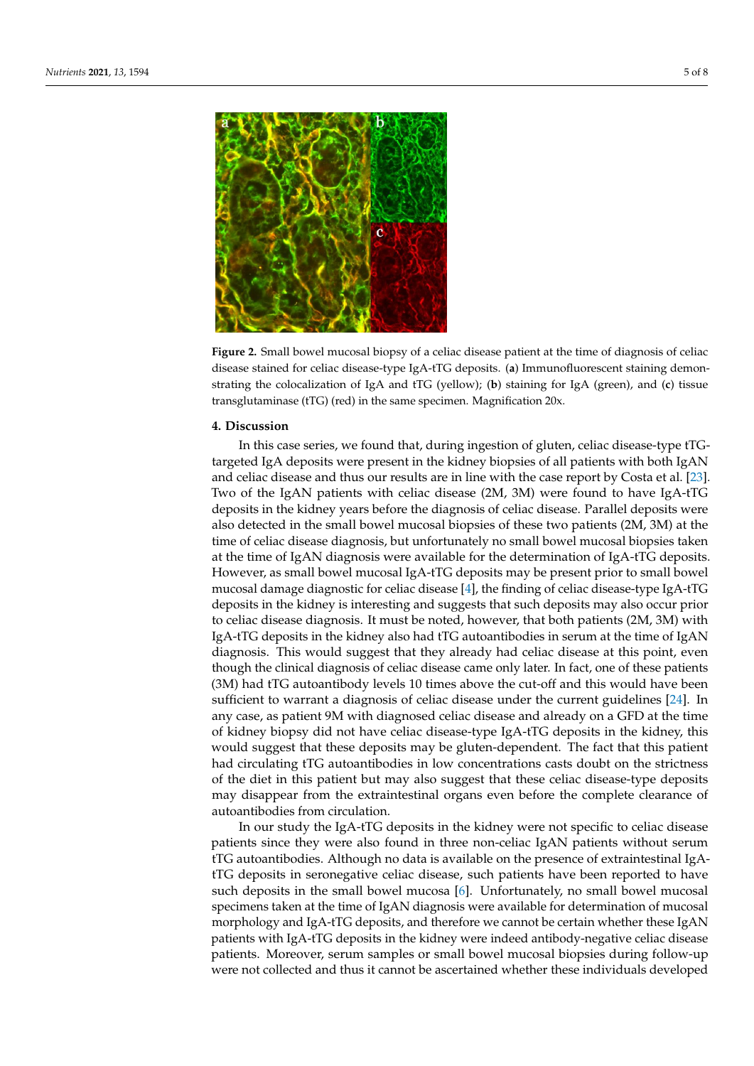<span id="page-4-0"></span>

**Figure 2.** Small bowel mucosal biopsy of a celiac disease patient at the time of diagnosis of celiac **Figure 2.** Small bowel mucosal biopsy of a celiac disease patient at the time of diagnosis of celiac disease stained for celiac disease-type IgA-tTG deposits. (**a**) Immunofluorescent staining demon-disease stained for celiac disease-type IgA-tTG deposits. (**a**) Immunofluorescent staining demonstrating the colocalization of IgA and tTG (yellow); (**b**) staining for IgA (green), and (**c**) tissue strating the colocalization of IgA and tTG (yellow); (**b**) staining for IgA (green), and (**c**) tissue transglutaminase (tTG) (red) in the same specimen. transglutaminase (tTG) (red) in the same specimen. Magnification 20x.

## **Table 1.** Background and follow-up data and biopsy findings among nine patients with IgA nephropathy (IgAN). **4. Discussion**

In this case series, we found that, during ingestion of gluten, celiac disease-type tTGtargeted IgA deposits were present in the kidney biopsies of all patients with both IgAN and celiac disease and thus our results are in line with the case report by Costa et al. [\[23\]](#page-6-21). Two of the IgAN patients with celiac disease (2M, 3M) were found to have IgA-tTG On gluten containing diet deposits in the kidney years before the diagnosis of celiac disease. Parallel deposits were also defected in the small bowel mucosal biopsies of these two patients (2M, 5M) at the<br>time of celiac disease diagnosis, but unfortunately no small bowel mucosal biopsies taken at the time of IgAN diagnosis were available for the determination of IgA-tTG deposits. However, as small bowel mucosal IgA-tTG deposits may be present prior to small bowel mucosal damage diagnostic for celiac disease [\[4\]](#page-6-6), the finding of celiac disease-type IgA-tTG  $\frac{1}{\sqrt{2}}$  is the line interesting of  $\frac{1}{\sqrt{2}}$  in the line interest  $\frac{1}{\sqrt{2}}$  is the line of  $\frac{1}{\sqrt{2}}$  is the line of  $\frac{1}{\sqrt{2}}$  is the line of  $\frac{1}{\sqrt{2}}$  is the line of  $\frac{1}{\sqrt{2}}$  is the line of  $\frac{1}{\$ deposits in the kidney is interesting and suggests that such deposits may also occur prior to celiac disease diagnosis. It must be noted, however, that both patients (2M, 3M) with IgA-tTG deposits in the kidney also had tTG autoantibodies in serum at the time of IgAN diagnosis. This would suggest that they already had celiac disease at this point, even though the clinical diagnosis of celiac disease came only later. In fact, one of these patients (3M) had tTG autoantibody levels 10 times above the cut-off and this would have been sufficient to warrant a diagnosis of celiac disease under the current guidelines [\[24\]](#page-6-22). In any case, as patient 9M with diagnosed celiac disease and already on a GFD at the time of kidney biopsy did not have celiac disease-type IgA-tTG deposits in the kidney, this would suggest that these deposits may be gluten-dependent. The fact that this patient **4. Discussion** had circulating tTG autoantibodies in low concentrations casts doubt on the strictness may disappear from the extraintestinal organs even before the complete clearance of autoantibodies from circulation. also detected in the small bowel mucosal biopsies of these two patients (2M, 3M) at the of the diet in this patient but may also suggest that these celiac disease-type deposits

In our study the IgA-tTG deposits in the kidney were not specific to celiac disease patients since they were also found in three non-celiac IgAN patients without serum tTG autoantibodies. Although no data is available on the presence of extraintestinal IgAtTG deposits in seronegative celiac disease, such patients have been reported to have such deposits in the small bowel mucosa [\[6\]](#page-6-4). Unfortunately, no small bowel mucosal specimens taken at the time of IgAN diagnosis were available for determination of mucosal morphology and IgA-tTG deposits, and therefore we cannot be certain whether these IgAN patients with IgA-tTG deposits in the kidney were indeed antibody-negative celiac disease patients. Moreover, serum samples or small bowel mucosal biopsies during follow-up were not collected and thus it cannot be ascertained whether these individuals developed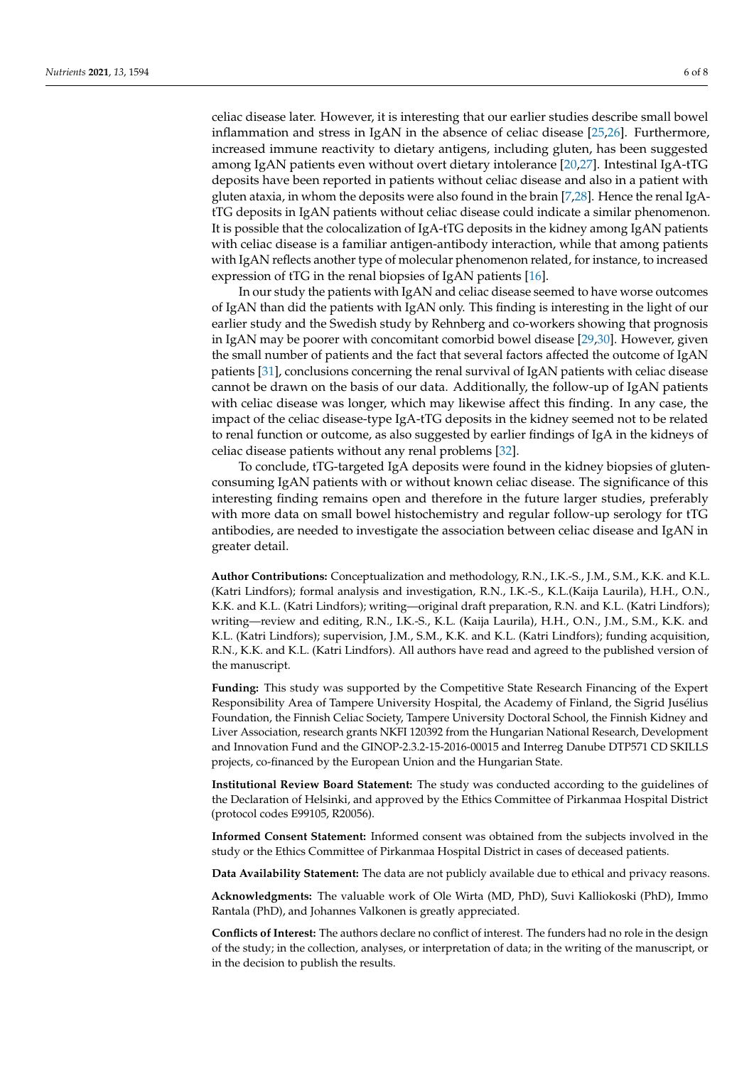celiac disease later. However, it is interesting that our earlier studies describe small bowel inflammation and stress in IgAN in the absence of celiac disease [\[25](#page-7-0)[,26\]](#page-7-1). Furthermore, increased immune reactivity to dietary antigens, including gluten, has been suggested among IgAN patients even without overt dietary intolerance [\[20,](#page-6-23)[27\]](#page-7-2). Intestinal IgA-tTG deposits have been reported in patients without celiac disease and also in a patient with gluten ataxia, in whom the deposits were also found in the brain [\[7](#page-6-5)[,28\]](#page-7-3). Hence the renal IgAtTG deposits in IgAN patients without celiac disease could indicate a similar phenomenon. It is possible that the colocalization of IgA-tTG deposits in the kidney among IgAN patients with celiac disease is a familiar antigen-antibody interaction, while that among patients with IgAN reflects another type of molecular phenomenon related, for instance, to increased expression of tTG in the renal biopsies of IgAN patients [\[16\]](#page-6-15).

In our study the patients with IgAN and celiac disease seemed to have worse outcomes of IgAN than did the patients with IgAN only. This finding is interesting in the light of our earlier study and the Swedish study by Rehnberg and co-workers showing that prognosis in IgAN may be poorer with concomitant comorbid bowel disease [\[29,](#page-7-4)[30\]](#page-7-5). However, given the small number of patients and the fact that several factors affected the outcome of IgAN patients [\[31\]](#page-7-6), conclusions concerning the renal survival of IgAN patients with celiac disease cannot be drawn on the basis of our data. Additionally, the follow-up of IgAN patients with celiac disease was longer, which may likewise affect this finding. In any case, the impact of the celiac disease-type IgA-tTG deposits in the kidney seemed not to be related to renal function or outcome, as also suggested by earlier findings of IgA in the kidneys of celiac disease patients without any renal problems [\[32\]](#page-7-7).

To conclude, tTG-targeted IgA deposits were found in the kidney biopsies of glutenconsuming IgAN patients with or without known celiac disease. The significance of this interesting finding remains open and therefore in the future larger studies, preferably with more data on small bowel histochemistry and regular follow-up serology for tTG antibodies, are needed to investigate the association between celiac disease and IgAN in greater detail.

**Author Contributions:** Conceptualization and methodology, R.N., I.K.-S., J.M., S.M., K.K. and K.L. (Katri Lindfors); formal analysis and investigation, R.N., I.K.-S., K.L.(Kaija Laurila), H.H., O.N., K.K. and K.L. (Katri Lindfors); writing—original draft preparation, R.N. and K.L. (Katri Lindfors); writing—review and editing, R.N., I.K.-S., K.L. (Kaija Laurila), H.H., O.N., J.M., S.M., K.K. and K.L. (Katri Lindfors); supervision, J.M., S.M., K.K. and K.L. (Katri Lindfors); funding acquisition, R.N., K.K. and K.L. (Katri Lindfors). All authors have read and agreed to the published version of the manuscript.

**Funding:** This study was supported by the Competitive State Research Financing of the Expert Responsibility Area of Tampere University Hospital, the Academy of Finland, the Sigrid Jusélius Foundation, the Finnish Celiac Society, Tampere University Doctoral School, the Finnish Kidney and Liver Association, research grants NKFI 120392 from the Hungarian National Research, Development and Innovation Fund and the GINOP-2.3.2-15-2016-00015 and Interreg Danube DTP571 CD SKILLS projects, co-financed by the European Union and the Hungarian State.

**Institutional Review Board Statement:** The study was conducted according to the guidelines of the Declaration of Helsinki, and approved by the Ethics Committee of Pirkanmaa Hospital District (protocol codes E99105, R20056).

**Informed Consent Statement:** Informed consent was obtained from the subjects involved in the study or the Ethics Committee of Pirkanmaa Hospital District in cases of deceased patients.

**Data Availability Statement:** The data are not publicly available due to ethical and privacy reasons.

**Acknowledgments:** The valuable work of Ole Wirta (MD, PhD), Suvi Kalliokoski (PhD), Immo Rantala (PhD), and Johannes Valkonen is greatly appreciated.

**Conflicts of Interest:** The authors declare no conflict of interest. The funders had no role in the design of the study; in the collection, analyses, or interpretation of data; in the writing of the manuscript, or in the decision to publish the results.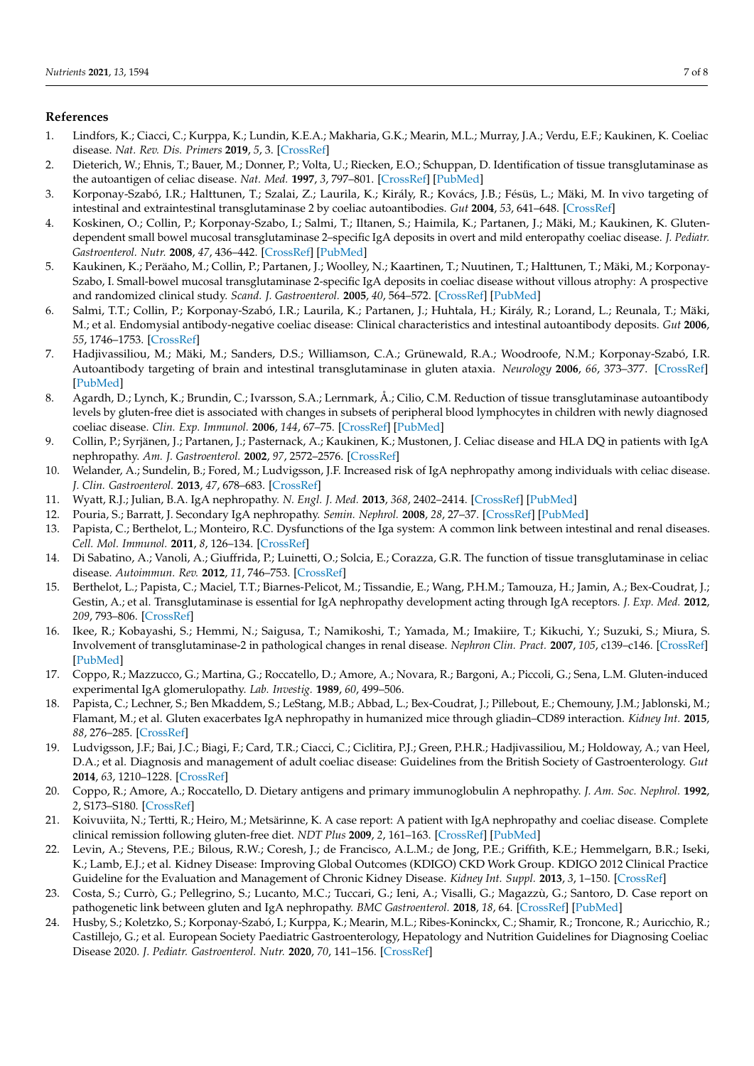#### **References**

- <span id="page-6-0"></span>1. Lindfors, K.; Ciacci, C.; Kurppa, K.; Lundin, K.E.A.; Makharia, G.K.; Mearin, M.L.; Murray, J.A.; Verdu, E.F.; Kaukinen, K. Coeliac disease. *Nat. Rev. Dis. Primers* **2019**, *5*, 3. [\[CrossRef\]](http://doi.org/10.1038/s41572-018-0054-z)
- <span id="page-6-1"></span>2. Dieterich, W.; Ehnis, T.; Bauer, M.; Donner, P.; Volta, U.; Riecken, E.O.; Schuppan, D. Identification of tissue transglutaminase as the autoantigen of celiac disease. *Nat. Med.* **1997**, *3*, 797–801. [\[CrossRef\]](http://doi.org/10.1038/nm0797-797) [\[PubMed\]](http://www.ncbi.nlm.nih.gov/pubmed/9212111)
- <span id="page-6-2"></span>3. Korponay-Szabó, I.R.; Halttunen, T.; Szalai, Z.; Laurila, K.; Király, R.; Kovács, J.B.; Fésüs, L.; Mäki, M. In vivo targeting of intestinal and extraintestinal transglutaminase 2 by coeliac autoantibodies. *Gut* **2004**, *53*, 641–648. [\[CrossRef\]](http://doi.org/10.1136/gut.2003.024836)
- <span id="page-6-6"></span>4. Koskinen, O.; Collin, P.; Korponay-Szabo, I.; Salmi, T.; Iltanen, S.; Haimila, K.; Partanen, J.; Mäki, M.; Kaukinen, K. Glutendependent small bowel mucosal transglutaminase 2–specific IgA deposits in overt and mild enteropathy coeliac disease. *J. Pediatr. Gastroenterol. Nutr.* **2008**, *47*, 436–442. [\[CrossRef\]](http://doi.org/10.1097/MPG.0b013e31817b6dec) [\[PubMed\]](http://www.ncbi.nlm.nih.gov/pubmed/18852635)
- <span id="page-6-3"></span>5. Kaukinen, K.; Peräaho, M.; Collin, P.; Partanen, J.; Woolley, N.; Kaartinen, T.; Nuutinen, T.; Halttunen, T.; Mäki, M.; Korponay-Szabo, I. Small-bowel mucosal transglutaminase 2-specific IgA deposits in coeliac disease without villous atrophy: A prospective and randomized clinical study. *Scand. J. Gastroenterol.* **2005**, *40*, 564–572. [\[CrossRef\]](http://doi.org/10.1080/00365520510023422) [\[PubMed\]](http://www.ncbi.nlm.nih.gov/pubmed/16036509)
- <span id="page-6-4"></span>6. Salmi, T.T.; Collin, P.; Korponay-Szabó, I.R.; Laurila, K.; Partanen, J.; Huhtala, H.; Király, R.; Lorand, L.; Reunala, T.; Mäki, M.; et al. Endomysial antibody-negative coeliac disease: Clinical characteristics and intestinal autoantibody deposits. *Gut* **2006**, *55*, 1746–1753. [\[CrossRef\]](http://doi.org/10.1136/gut.2005.071514)
- <span id="page-6-5"></span>7. Hadjivassiliou, M.; Mäki, M.; Sanders, D.S.; Williamson, C.A.; Grünewald, R.A.; Woodroofe, N.M.; Korponay-Szabó, I.R. Autoantibody targeting of brain and intestinal transglutaminase in gluten ataxia. *Neurology* **2006**, *66*, 373–377. [\[CrossRef\]](http://doi.org/10.1212/01.wnl.0000196480.55601.3a) [\[PubMed\]](http://www.ncbi.nlm.nih.gov/pubmed/16476935)
- <span id="page-6-7"></span>8. Agardh, D.; Lynch, K.; Brundin, C.; Ivarsson, S.A.; Lernmark, Å.; Cilio, C.M. Reduction of tissue transglutaminase autoantibody levels by gluten-free diet is associated with changes in subsets of peripheral blood lymphocytes in children with newly diagnosed coeliac disease. *Clin. Exp. Immunol.* **2006**, *144*, 67–75. [\[CrossRef\]](http://doi.org/10.1111/j.1365-2249.2006.03036.x) [\[PubMed\]](http://www.ncbi.nlm.nih.gov/pubmed/16542367)
- <span id="page-6-8"></span>9. Collin, P.; Syrjänen, J.; Partanen, J.; Pasternack, A.; Kaukinen, K.; Mustonen, J. Celiac disease and HLA DQ in patients with IgA nephropathy. *Am. J. Gastroenterol.* **2002**, *97*, 2572–2576. [\[CrossRef\]](http://doi.org/10.1111/j.1572-0241.2002.06025.x)
- <span id="page-6-9"></span>10. Welander, A.; Sundelin, B.; Fored, M.; Ludvigsson, J.F. Increased risk of IgA nephropathy among individuals with celiac disease. *J. Clin. Gastroenterol.* **2013**, *47*, 678–683. [\[CrossRef\]](http://doi.org/10.1097/MCG.0b013e318284792e)
- <span id="page-6-10"></span>11. Wyatt, R.J.; Julian, B.A. IgA nephropathy. *N. Engl. J. Med.* **2013**, *368*, 2402–2414. [\[CrossRef\]](http://doi.org/10.1056/NEJMra1206793) [\[PubMed\]](http://www.ncbi.nlm.nih.gov/pubmed/23782179)
- <span id="page-6-11"></span>12. Pouria, S.; Barratt, J. Secondary IgA nephropathy. *Semin. Nephrol.* **2008**, *28*, 27–37. [\[CrossRef\]](http://doi.org/10.1016/j.semnephrol.2007.10.004) [\[PubMed\]](http://www.ncbi.nlm.nih.gov/pubmed/18222344)
- <span id="page-6-12"></span>13. Papista, C.; Berthelot, L.; Monteiro, R.C. Dysfunctions of the Iga system: A common link between intestinal and renal diseases. *Cell. Mol. Immunol.* **2011**, *8*, 126–134. [\[CrossRef\]](http://doi.org/10.1038/cmi.2010.69)
- <span id="page-6-13"></span>14. Di Sabatino, A.; Vanoli, A.; Giuffrida, P.; Luinetti, O.; Solcia, E.; Corazza, G.R. The function of tissue transglutaminase in celiac disease. *Autoimmun. Rev.* **2012**, *11*, 746–753. [\[CrossRef\]](http://doi.org/10.1016/j.autrev.2012.01.007)
- <span id="page-6-14"></span>15. Berthelot, L.; Papista, C.; Maciel, T.T.; Biarnes-Pelicot, M.; Tissandie, E.; Wang, P.H.M.; Tamouza, H.; Jamin, A.; Bex-Coudrat, J.; Gestin, A.; et al. Transglutaminase is essential for IgA nephropathy development acting through IgA receptors. *J. Exp. Med.* **2012**, *209*, 793–806. [\[CrossRef\]](http://doi.org/10.1084/jem.20112005)
- <span id="page-6-15"></span>16. Ikee, R.; Kobayashi, S.; Hemmi, N.; Saigusa, T.; Namikoshi, T.; Yamada, M.; Imakiire, T.; Kikuchi, Y.; Suzuki, S.; Miura, S. Involvement of transglutaminase-2 in pathological changes in renal disease. *Nephron Clin. Pract.* **2007**, *105*, c139–c146. [\[CrossRef\]](http://doi.org/10.1159/000098646) [\[PubMed\]](http://www.ncbi.nlm.nih.gov/pubmed/17228174)
- <span id="page-6-16"></span>17. Coppo, R.; Mazzucco, G.; Martina, G.; Roccatello, D.; Amore, A.; Novara, R.; Bargoni, A.; Piccoli, G.; Sena, L.M. Gluten-induced experimental IgA glomerulopathy. *Lab. Investig.* **1989**, *60*, 499–506.
- <span id="page-6-17"></span>18. Papista, C.; Lechner, S.; Ben Mkaddem, S.; LeStang, M.B.; Abbad, L.; Bex-Coudrat, J.; Pillebout, E.; Chemouny, J.M.; Jablonski, M.; Flamant, M.; et al. Gluten exacerbates IgA nephropathy in humanized mice through gliadin–CD89 interaction. *Kidney Int.* **2015**, *88*, 276–285. [\[CrossRef\]](http://doi.org/10.1038/ki.2015.94)
- <span id="page-6-18"></span>19. Ludvigsson, J.F.; Bai, J.C.; Biagi, F.; Card, T.R.; Ciacci, C.; Ciclitira, P.J.; Green, P.H.R.; Hadjivassiliou, M.; Holdoway, A.; van Heel, D.A.; et al. Diagnosis and management of adult coeliac disease: Guidelines from the British Society of Gastroenterology. *Gut* **2014**, *63*, 1210–1228. [\[CrossRef\]](http://doi.org/10.1136/gutjnl-2013-306578)
- <span id="page-6-23"></span>20. Coppo, R.; Amore, A.; Roccatello, D. Dietary antigens and primary immunoglobulin A nephropathy. *J. Am. Soc. Nephrol.* **1992**, *2*, S173–S180. [\[CrossRef\]](http://doi.org/10.1681/ASN.V210s173)
- <span id="page-6-19"></span>21. Koivuviita, N.; Tertti, R.; Heiro, M.; Metsärinne, K. A case report: A patient with IgA nephropathy and coeliac disease. Complete clinical remission following gluten-free diet. *NDT Plus* **2009**, *2*, 161–163. [\[CrossRef\]](http://doi.org/10.1093/ndtplus/sfn205) [\[PubMed\]](http://www.ncbi.nlm.nih.gov/pubmed/25949317)
- <span id="page-6-20"></span>22. Levin, A.; Stevens, P.E.; Bilous, R.W.; Coresh, J.; de Francisco, A.L.M.; de Jong, P.E.; Griffith, K.E.; Hemmelgarn, B.R.; Iseki, K.; Lamb, E.J.; et al. Kidney Disease: Improving Global Outcomes (KDIGO) CKD Work Group. KDIGO 2012 Clinical Practice Guideline for the Evaluation and Management of Chronic Kidney Disease. *Kidney Int. Suppl.* **2013**, *3*, 1–150. [\[CrossRef\]](http://doi.org/10.1038/kisup.2012.73)
- <span id="page-6-21"></span>23. Costa, S.; Currò, G.; Pellegrino, S.; Lucanto, M.C.; Tuccari, G.; Ieni, A.; Visalli, G.; Magazzù, G.; Santoro, D. Case report on pathogenetic link between gluten and IgA nephropathy. *BMC Gastroenterol.* **2018**, *18*, 64. [\[CrossRef\]](http://doi.org/10.1186/s12876-018-0792-0) [\[PubMed\]](http://www.ncbi.nlm.nih.gov/pubmed/29769033)
- <span id="page-6-22"></span>24. Husby, S.; Koletzko, S.; Korponay-Szabó, I.; Kurppa, K.; Mearin, M.L.; Ribes-Koninckx, C.; Shamir, R.; Troncone, R.; Auricchio, R.; Castillejo, G.; et al. European Society Paediatric Gastroenterology, Hepatology and Nutrition Guidelines for Diagnosing Coeliac Disease 2020. *J. Pediatr. Gastroenterol. Nutr.* **2020**, *70*, 141–156. [\[CrossRef\]](http://doi.org/10.1097/MPG.0000000000002497)